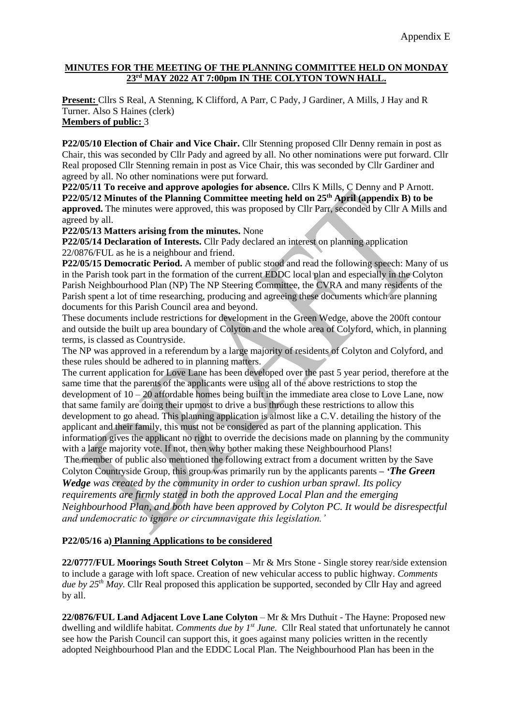#### **MINUTES FOR THE MEETING OF THE PLANNING COMMITTEE HELD ON MONDAY 23rd MAY 2022 AT 7:00pm IN THE COLYTON TOWN HALL.**

**Present:** Cllrs S Real, A Stenning, K Clifford, A Parr, C Pady, J Gardiner, A Mills, J Hay and R Turner. Also S Haines (clerk) **Members of public:** 3

### **P22/05/10 Election of Chair and Vice Chair.** Cllr Stenning proposed Cllr Denny remain in post as Chair, this was seconded by Cllr Pady and agreed by all. No other nominations were put forward. Cllr Real proposed Cllr Stenning remain in post as Vice Chair, this was seconded by Cllr Gardiner and agreed by all. No other nominations were put forward.

**P22/05/11 To receive and approve apologies for absence.** Cllrs K Mills, C Denny and P Arnott. **P22/05/12 Minutes of the Planning Committee meeting held on 25th April (appendix B) to be approved.** The minutes were approved, this was proposed by Cllr Parr, seconded by Cllr A Mills and agreed by all.

**P22/05/13 Matters arising from the minutes.** None

**P22/05/14 Declaration of Interests.** Cllr Pady declared an interest on planning application 22/0876/FUL as he is a neighbour and friend.

**P22/05/15 Democratic Period.** A member of public stood and read the following speech: Many of us in the Parish took part in the formation of the current EDDC local plan and especially in the Colyton Parish Neighbourhood Plan (NP) The NP Steering Committee, the CVRA and many residents of the Parish spent a lot of time researching, producing and agreeing these documents which are planning documents for this Parish Council area and beyond.

These documents include restrictions for development in the Green Wedge, above the 200ft contour and outside the built up area boundary of Colyton and the whole area of Colyford, which, in planning terms, is classed as Countryside.

The NP was approved in a referendum by a large majority of residents of Colyton and Colyford, and these rules should be adhered to in planning matters.

The current application for Love Lane has been developed over the past 5 year period, therefore at the same time that the parents of the applicants were using all of the above restrictions to stop the development of  $10 - 20$  affordable homes being built in the immediate area close to Love Lane, now that same family are doing their upmost to drive a bus through these restrictions to allow this development to go ahead. This planning application is almost like a C.V. detailing the history of the applicant and their family, this must not be considered as part of the planning application. This information gives the applicant no right to override the decisions made on planning by the community with a large majority vote. If not, then why bother making these Neighbourhood Plans!

The member of public also mentioned the following extract from a document written by the Save Colyton Countryside Group, this group was primarily run by the applicants parents **–** *'The Green* 

*Wedge was created by the community in order to cushion urban sprawl. Its policy requirements are firmly stated in both the approved Local Plan and the emerging Neighbourhood Plan, and both have been approved by Colyton PC. It would be disrespectful and undemocratic to ignore or circumnavigate this legislation.'*

# **P22/05/16 a) Planning Applications to be considered**

**22/0777/FUL Moorings South Street Colyton** – Mr & Mrs Stone - Single storey rear/side extension to include a garage with loft space. Creation of new vehicular access to public highway. *Comments due by 25th May.* Cllr Real proposed this application be supported, seconded by Cllr Hay and agreed by all.

**22/0876/FUL Land Adjacent Love Lane Colyton** – Mr & Mrs Duthuit - The Hayne: Proposed new dwelling and wildlife habitat. *Comments due by 1st June.* Cllr Real stated that unfortunately he cannot see how the Parish Council can support this, it goes against many policies written in the recently adopted Neighbourhood Plan and the EDDC Local Plan. The Neighbourhood Plan has been in the